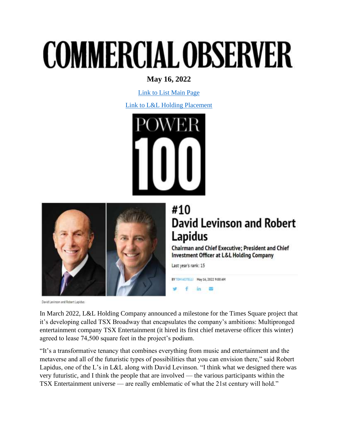## **COMMERCIAL OBSERVER**

## **May 16, 2022**

[Link to List Main Page](https://commercialobserver.com/power-series/power-100-2022)

[Link to L&L Holding Placement](https://commercialobserver.com/power-series/power-100-2022/player/david-levinson-and-robert-lapidus/)





## #10 **David Levinson and Robert** Lapidus

Chairman and Chief Executive; President and Chief **Investment Officer at L&L Holding Company** 

Last year's rank: 15

BY TOM ACITELLI May 16, 2022 9:00 AM  $in \mathbb{Z}$ 

David Levinson and Robert Lapidus

In March 2022, L&L Holding Company announced a milestone for the Times Square project that it's developing called TSX Broadway that encapsulates the company's ambitions: Multipronged entertainment company TSX Entertainment (it hired its first chief metaverse officer this winter) agreed to lease 74,500 square feet in the project's podium.

"It's a transformative tenancy that combines everything from music and entertainment and the metaverse and all of the futuristic types of possibilities that you can envision there," said Robert Lapidus, one of the L's in L&L along with David Levinson. "I think what we designed there was very futuristic, and I think the people that are involved — the various participants within the TSX Entertainment universe — are really emblematic of what the 21st century will hold."